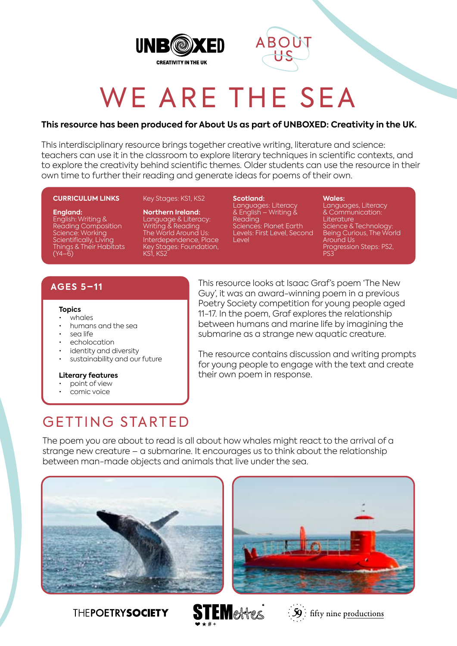



# WE ARE THE SEA

#### **This resource has been produced for About Us as part of UNBOXED: Creativity in the UK.**

This interdisciplinary resource brings together creative writing, literature and science: teachers can use it in the classroom to explore literary techniques in scientific contexts, and to explore the creativity behind scientific themes. Older students can use the resource in their own time to further their reading and generate ideas for poems of their own.

#### **CURRICULUM LINKS**

#### **England:** English: Writing & Reading Composition Science: Working Scientifically, Living Things & Their Habitats  $(Y4–6)$

**Northern Ireland:** Language & Literacy: Writing & Reading The World Around Us: Interdependence, Place Key Stages: Foundation, KS1, KS2

Key Stages: KS1, KS2

**Scotland:** Languages: Literacy & English – Writing & Reading Sciences: Planet Earth Levels: First Level, Second Level

**Wales:** Languages, Literacy & Communication: Literature Science & Technology: Being Curious, The World Around Us Progression Steps: PS2, PS3

#### **AGES 5–11**

#### **Topics**

- whales
- humans and the sea
- sea life
- echolocation
- identity and diversity
- sustainability and our future

#### **Literary features**

- point of view
- comic voice

This resource looks at Isaac Graf's poem 'The New Guy', it was an award-winning poem in a previous Poetry Society competition for young people aged 11-17. In the poem, Graf explores the relationship between humans and marine life by imagining the submarine as a strange new aquatic creature.

The resource contains discussion and writing prompts for young people to engage with the text and create their own poem in response.

# GETTING STARTED

The poem you are about to read is all about how whales might react to the arrival of a strange new creature – a submarine. It encourages us to think about the relationship between man-made objects and animals that live under the sea.









 $\mathcal{L}[\mathbf{S}]$ : fifty nine productions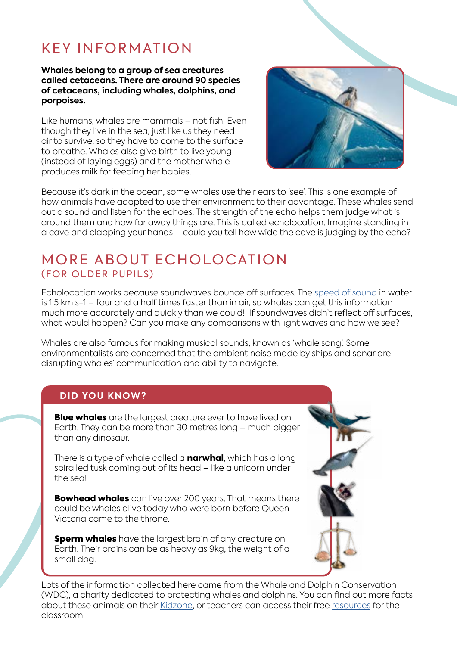# KEY INFORMATION

#### **Whales belong to a group of sea creatures called cetaceans. There are around 90 species of cetaceans, including whales, dolphins, and porpoises.**

Like humans, whales are mammals – not fish. Even though they live in the sea, just like us they need air to survive, so they have to come to the surface to breathe. Whales also give birth to live young (instead of laying eggs) and the mother whale produces milk for feeding her babies.



Because it's dark in the ocean, some whales use their ears to 'see'. This is one example of how animals have adapted to use their environment to their advantage. These whales send out a sound and listen for the echoes. The strength of the echo helps them judge what is around them and how far away things are. This is called echolocation. Imagine standing in a cave and clapping your hands – could you tell how wide the cave is judging by the echo?

### MORE ABOUT ECHOLOCATION (FOR OLDER PUPILS)

Echolocation works because soundwaves bounce off surfaces. The [speed of sound](https://en.wikipedia.org/wiki/Speed_of_sound) in water is 1.5 km s-1 – four and a half times faster than in air, so whales can get this information much more accurately and quickly than we could! If soundwaves didn't reflect off surfaces, what would happen? Can you make any comparisons with light waves and how we see?

Whales are also famous for making musical sounds, known as 'whale song'. Some environmentalists are concerned that the ambient noise made by ships and sonar are disrupting whales' communication and ability to navigate.

#### **DID YOU KNOW?**

**Blue whales** are the largest creature ever to have lived on Earth. They can be more than 30 metres long – much bigger than any dinosaur.

There is a type of whale called a **narwhal**, which has a long spiralled tusk coming out of its head – like a unicorn under the sea!

**Bowhead whales** can live over 200 years. That means there could be whales alive today who were born before Queen Victoria came to the throne.

**Sperm whales** have the largest brain of any creature on Earth. Their brains can be as heavy as 9kg, the weight of a small dog.



Lots of the information collected here came from the Whale and Dolphin Conservation (WDC), a charity dedicated to protecting whales and dolphins. You can find out more facts about these animals on their [Kidzone,](https://uk.whales.org/kidzone/) or teachers can access their free [resources](https://uk.whales.org/whales-dolphins/educational-resources/) for the classroom.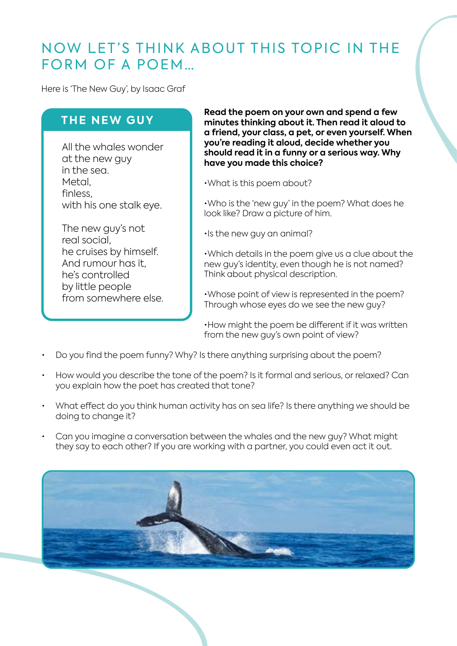### NOW LET'S THINK ABOUT THIS TOPIC IN THE FORM OF A POEM…

Here is 'The New Guy', by Isaac Graf

#### **THE NEW GUY**

All the whales wonder at the new guy in the sea. Metal, finless, with his one stalk eye.

The new guy's not real social, he cruises by himself. And rumour has it, he's controlled by little people from somewhere else. **Read the poem on your own and spend a few minutes thinking about it. Then read it aloud to a friend, your class, a pet, or even yourself. When you're reading it aloud, decide whether you should read it in a funny or a serious way. Why have you made this choice?**

•What is this poem about?

•Who is the 'new guy' in the poem? What does he look like? Draw a picture of him.

•Is the new guy an animal?

•Which details in the poem give us a clue about the new guy's identity, even though he is not named? Think about physical description.

•Whose point of view is represented in the poem? Through whose eyes do we see the new guy?

•How might the poem be different if it was written from the new guy's own point of view?

- Do you find the poem funny? Why? Is there anything surprising about the poem?
- How would you describe the tone of the poem? Is it formal and serious, or relaxed? Can you explain how the poet has created that tone?
- What effect do you think human activity has on sea life? Is there anything we should be doing to change it?
- Can you imagine a conversation between the whales and the new guy? What might they say to each other? If you are working with a partner, you could even act it out.